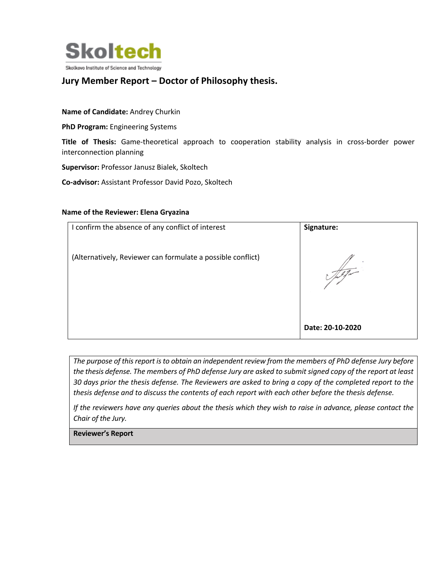

## **Jury Member Report – Doctor of Philosophy thesis.**

## **Name of Candidate:** Andrey Churkin

**PhD Program:** Engineering Systems

**Title of Thesis:** Game-theoretical approach to cooperation stability analysis in cross-border power interconnection planning

**Supervisor:** Professor Janusz Bialek, Skoltech

**Co-advisor:** Assistant Professor David Pozo, Skoltech

## **Name of the Reviewer: Elena Gryazina**

| I confirm the absence of any conflict of interest           | Signature:       |
|-------------------------------------------------------------|------------------|
| (Alternatively, Reviewer can formulate a possible conflict) |                  |
|                                                             | Date: 20-10-2020 |

*The purpose of this report is to obtain an independent review from the members of PhD defense Jury before the thesis defense. The members of PhD defense Jury are asked to submit signed copy of the report at least 30 days prior the thesis defense. The Reviewers are asked to bring a copy of the completed report to the thesis defense and to discuss the contents of each report with each other before the thesis defense.* 

*If the reviewers have any queries about the thesis which they wish to raise in advance, please contact the Chair of the Jury.*

**Reviewer's Report**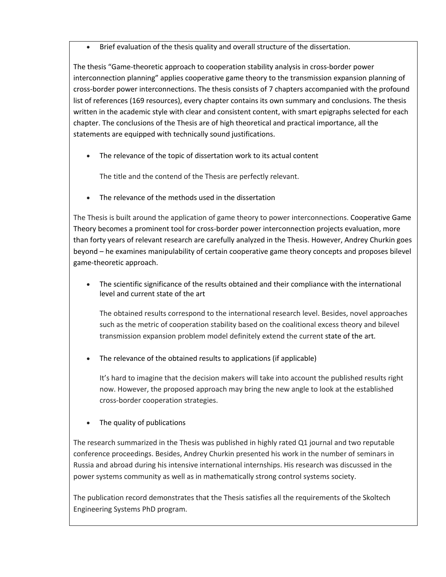• Brief evaluation of the thesis quality and overall structure of the dissertation.

The thesis "Game-theoretic approach to cooperation stability analysis in cross-border power interconnection planning" applies cooperative game theory to the transmission expansion planning of cross-border power interconnections. The thesis consists of 7 chapters accompanied with the profound list of references (169 resources), every chapter contains its own summary and conclusions. The thesis written in the academic style with clear and consistent content, with smart epigraphs selected for each chapter. The conclusions of the Thesis are of high theoretical and practical importance, all the statements are equipped with technically sound justifications.

• The relevance of the topic of dissertation work to its actual content

The title and the contend of the Thesis are perfectly relevant.

The relevance of the methods used in the dissertation

The Thesis is built around the application of game theory to power interconnections. Cooperative Game Theory becomes a prominent tool for cross-border power interconnection projects evaluation, more than forty years of relevant research are carefully analyzed in the Thesis. However, Andrey Churkin goes beyond – he examines manipulability of certain cooperative game theory concepts and proposes bilevel game-theoretic approach.

• The scientific significance of the results obtained and their compliance with the international level and current state of the art

The obtained results correspond to the international research level. Besides, novel approaches such as the metric of cooperation stability based on the coalitional excess theory and bilevel transmission expansion problem model definitely extend the current state of the art.

• The relevance of the obtained results to applications (if applicable)

It's hard to imagine that the decision makers will take into account the published results right now. However, the proposed approach may bring the new angle to look at the established cross-border cooperation strategies.

• The quality of publications

The research summarized in the Thesis was published in highly rated Q1 journal and two reputable conference proceedings. Besides, Andrey Churkin presented his work in the number of seminars in Russia and abroad during his intensive international internships. His research was discussed in the power systems community as well as in mathematically strong control systems society.

The publication record demonstrates that the Thesis satisfies all the requirements of the Skoltech Engineering Systems PhD program.